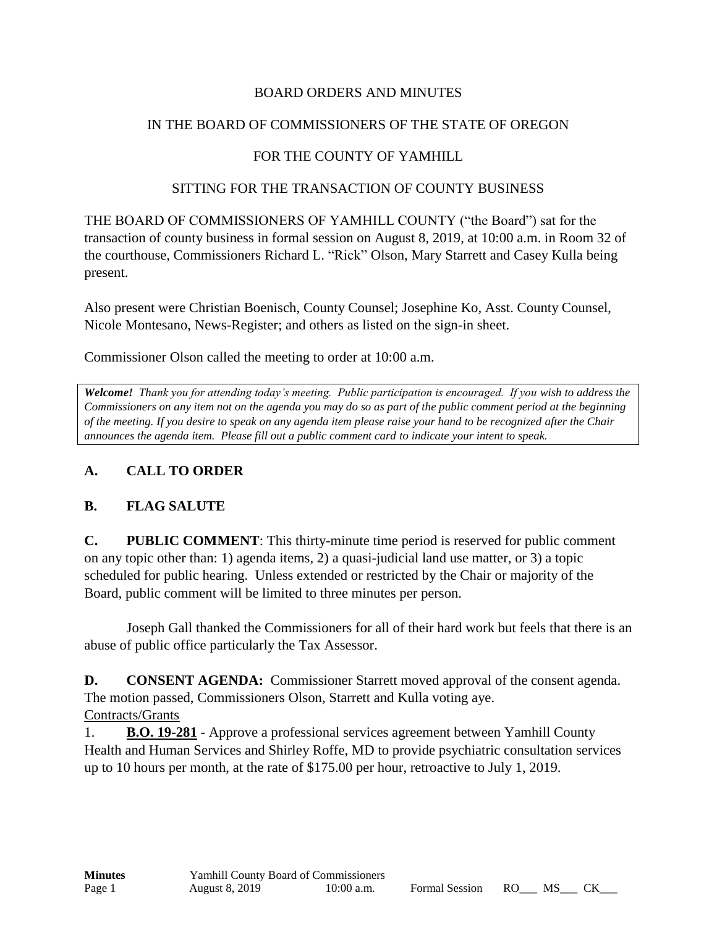## BOARD ORDERS AND MINUTES

### IN THE BOARD OF COMMISSIONERS OF THE STATE OF OREGON

## FOR THE COUNTY OF YAMHILL

#### SITTING FOR THE TRANSACTION OF COUNTY BUSINESS

THE BOARD OF COMMISSIONERS OF YAMHILL COUNTY ("the Board") sat for the transaction of county business in formal session on August 8, 2019, at 10:00 a.m. in Room 32 of the courthouse, Commissioners Richard L. "Rick" Olson, Mary Starrett and Casey Kulla being present.

Also present were Christian Boenisch, County Counsel; Josephine Ko, Asst. County Counsel, Nicole Montesano, News-Register; and others as listed on the sign-in sheet.

Commissioner Olson called the meeting to order at 10:00 a.m.

*Welcome! Thank you for attending today's meeting. Public participation is encouraged. If you wish to address the Commissioners on any item not on the agenda you may do so as part of the public comment period at the beginning of the meeting. If you desire to speak on any agenda item please raise your hand to be recognized after the Chair announces the agenda item. Please fill out a public comment card to indicate your intent to speak.*

## **A. CALL TO ORDER**

#### **B. FLAG SALUTE**

**C. PUBLIC COMMENT**: This thirty-minute time period is reserved for public comment on any topic other than: 1) agenda items, 2) a quasi-judicial land use matter, or 3) a topic scheduled for public hearing. Unless extended or restricted by the Chair or majority of the Board, public comment will be limited to three minutes per person.

Joseph Gall thanked the Commissioners for all of their hard work but feels that there is an abuse of public office particularly the Tax Assessor.

**D. CONSENT AGENDA:** Commissioner Starrett moved approval of the consent agenda. The motion passed, Commissioners Olson, Starrett and Kulla voting aye. Contracts/Grants

1. **B.O. 19-281** - Approve a professional services agreement between Yamhill County Health and Human Services and Shirley Roffe, MD to provide psychiatric consultation services up to 10 hours per month, at the rate of \$175.00 per hour, retroactive to July 1, 2019.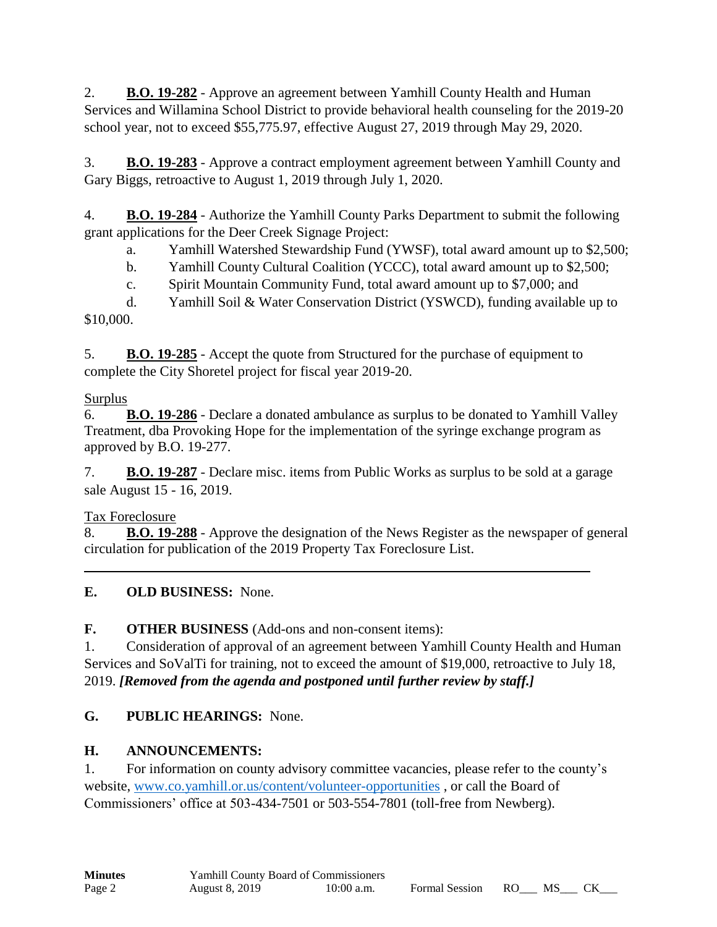2. **B.O. 19-282** - Approve an agreement between Yamhill County Health and Human Services and Willamina School District to provide behavioral health counseling for the 2019-20 school year, not to exceed \$55,775.97, effective August 27, 2019 through May 29, 2020.

3. **B.O. 19-283** - Approve a contract employment agreement between Yamhill County and Gary Biggs, retroactive to August 1, 2019 through July 1, 2020.

4. **B.O. 19-284** - Authorize the Yamhill County Parks Department to submit the following grant applications for the Deer Creek Signage Project:

a. Yamhill Watershed Stewardship Fund (YWSF), total award amount up to \$2,500;

b. Yamhill County Cultural Coalition (YCCC), total award amount up to \$2,500;

c. Spirit Mountain Community Fund, total award amount up to \$7,000; and

d. Yamhill Soil & Water Conservation District (YSWCD), funding available up to \$10,000.

5. **B.O. 19-285** - Accept the quote from Structured for the purchase of equipment to complete the City Shoretel project for fiscal year 2019-20.

# Surplus

6. **B.O. 19-286** - Declare a donated ambulance as surplus to be donated to Yamhill Valley Treatment, dba Provoking Hope for the implementation of the syringe exchange program as approved by B.O. 19-277.

7. **B.O. 19-287** - Declare misc. items from Public Works as surplus to be sold at a garage sale August 15 - 16, 2019.

Tax Foreclosure

8. **B.O. 19-288** - Approve the designation of the News Register as the newspaper of general circulation for publication of the 2019 Property Tax Foreclosure List.

# **E. OLD BUSINESS:** None.

**F. OTHER BUSINESS** (Add-ons and non-consent items):

1. Consideration of approval of an agreement between Yamhill County Health and Human Services and SoValTi for training, not to exceed the amount of \$19,000, retroactive to July 18, 2019. *[Removed from the agenda and postponed until further review by staff.]*

# **G. PUBLIC HEARINGS:** None.

# **H. ANNOUNCEMENTS:**

1. For information on county advisory committee vacancies, please refer to the county's website, [www.co.yamhill.or.us/content/volunteer-opportunities](http://www.co.yamhill.or.us/content/volunteer-opportunities) , or call the Board of Commissioners' office at 503-434-7501 or 503-554-7801 (toll-free from Newberg).